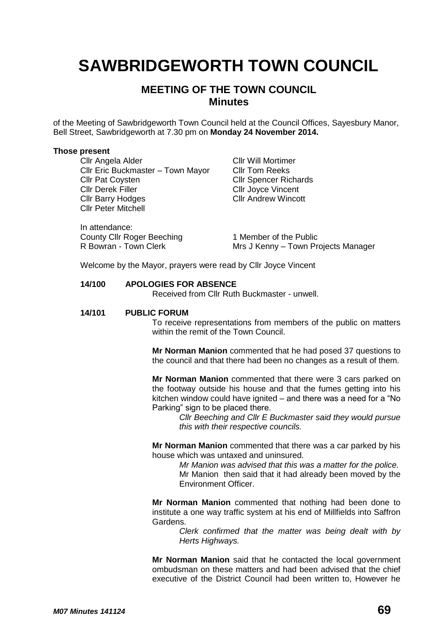# **SAWBRIDGEWORTH TOWN COUNCIL**

## **MEETING OF THE TOWN COUNCIL Minutes**

of the Meeting of Sawbridgeworth Town Council held at the Council Offices, Sayesbury Manor, Bell Street, Sawbridgeworth at 7.30 pm on **Monday 24 November 2014.**

#### **Those present**

**Cllr Angela Alder Cllr Will Mortimer** Cllr Eric Buckmaster – Town Mayor Cllr Tom Reeks **Cllr Pat Coysten Cllr Spencer Richards** Cllr Derek Filler Cllr Joyce Vincent Cllr Barry Hodges Cllr Andrew Wincott Cllr Peter Mitchell

In attendance: County Cllr Roger Beeching<br>
R Bowran - Town Clerk<br>
Mrs J Kenny – Town Pr

Mrs J Kenny – Town Projects Manager

Welcome by the Mayor, prayers were read by Cllr Joyce Vincent

## **14/100 APOLOGIES FOR ABSENCE**

Received from Cllr Ruth Buckmaster - unwell.

#### **14/101 PUBLIC FORUM**

To receive representations from members of the public on matters within the remit of the Town Council.

**Mr Norman Manion** commented that he had posed 37 questions to the council and that there had been no changes as a result of them*.*

**Mr Norman Manion** commented that there were 3 cars parked on the footway outside his house and that the fumes getting into his kitchen window could have ignited – and there was a need for a "No Parking" sign to be placed there.

*Cllr Beeching and Cllr E Buckmaster said they would pursue this with their respective councils.*

**Mr Norman Manion** commented that there was a car parked by his house which was untaxed and uninsured.

> *Mr Manion was advised that this was a matter for the police.* Mr Manion then said that it had already been moved by the Environment Officer.

**Mr Norman Manion** commented that nothing had been done to institute a one way traffic system at his end of Millfields into Saffron Gardens.

> *Clerk confirmed that the matter was being dealt with by Herts Highways.*

**Mr Norman Manion** said that he contacted the local government ombudsman on these matters and had been advised that the chief executive of the District Council had been written to, However he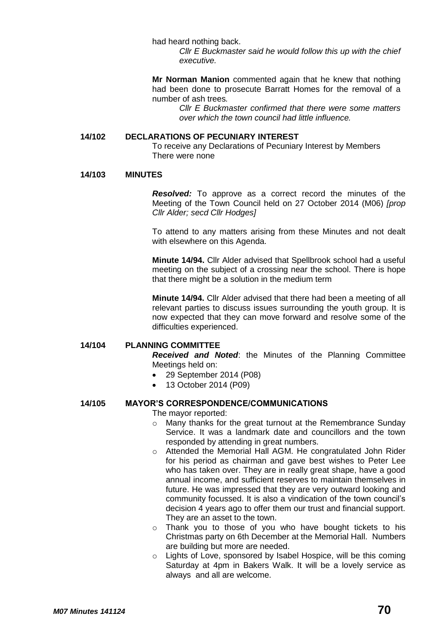had heard nothing back.

*Cllr E Buckmaster said he would follow this up with the chief executive.*

**Mr Norman Manion** commented again that he knew that nothing had been done to prosecute Barratt Homes for the removal of a number of ash trees*.*

*Cllr E Buckmaster confirmed that there were some matters over which the town council had little influence.*

#### **14/102 DECLARATIONS OF PECUNIARY INTEREST**

To receive any Declarations of Pecuniary Interest by Members There were none

#### **14/103 MINUTES**

*Resolved:* To approve as a correct record the minutes of the Meeting of the Town Council held on 27 October 2014 (M06) *[prop Cllr Alder; secd Cllr Hodges]*

To attend to any matters arising from these Minutes and not dealt with elsewhere on this Agenda.

**Minute 14/94.** Cllr Alder advised that Spellbrook school had a useful meeting on the subject of a crossing near the school. There is hope that there might be a solution in the medium term

**Minute 14/94.** Cllr Alder advised that there had been a meeting of all relevant parties to discuss issues surrounding the youth group. It is now expected that they can move forward and resolve some of the difficulties experienced.

#### **14/104 PLANNING COMMITTEE**

*Received and Noted*: the Minutes of the Planning Committee Meetings held on:

- 29 September 2014 (P08)
- 13 October 2014 (P09)

### **14/105 MAYOR'S CORRESPONDENCE/COMMUNICATIONS**

The mayor reported:

- o Many thanks for the great turnout at the Remembrance Sunday Service. It was a landmark date and councillors and the town responded by attending in great numbers.
- o Attended the Memorial Hall AGM. He congratulated John Rider for his period as chairman and gave best wishes to Peter Lee who has taken over. They are in really great shape, have a good annual income, and sufficient reserves to maintain themselves in future. He was impressed that they are very outward looking and community focussed. It is also a vindication of the town council's decision 4 years ago to offer them our trust and financial support. They are an asset to the town.
- o Thank you to those of you who have bought tickets to his Christmas party on 6th December at the Memorial Hall. Numbers are building but more are needed.
- o Lights of Love, sponsored by Isabel Hospice, will be this coming Saturday at 4pm in Bakers Walk. It will be a lovely service as always and all are welcome.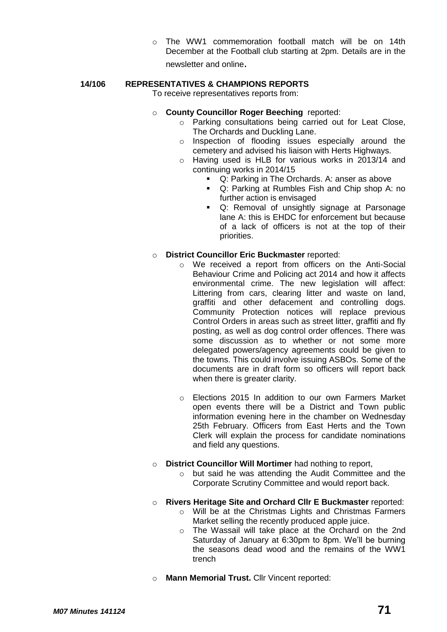o The WW1 commemoration football match will be on 14th December at the Football club starting at 2pm. Details are in the newsletter and online.

## **14/106 REPRESENTATIVES & CHAMPIONS REPORTS**

To receive representatives reports from:

- o **County Councillor Roger Beeching** reported:
	- o Parking consultations being carried out for Leat Close, The Orchards and Duckling Lane.
	- o Inspection of flooding issues especially around the cemetery and advised his liaison with Herts Highways.
	- o Having used is HLB for various works in 2013/14 and continuing works in 2014/15
		- **Q: Parking in The Orchards. A: anser as above**
		- Q: Parking at Rumbles Fish and Chip shop A: no further action is envisaged
		- **Q:** Removal of unsightly signage at Parsonage lane A: this is EHDC for enforcement but because of a lack of officers is not at the top of their priorities.

## o **District Councillor Eric Buckmaster** reported:

- o We received a report from officers on the Anti-Social Behaviour Crime and Policing act 2014 and how it affects environmental crime. The new legislation will affect: Littering from cars, clearing litter and waste on land, graffiti and other defacement and controlling dogs. Community Protection notices will replace previous Control Orders in areas such as street litter, graffiti and fly posting, as well as dog control order offences. There was some discussion as to whether or not some more delegated powers/agency agreements could be given to the towns. This could involve issuing ASBOs. Some of the documents are in draft form so officers will report back when there is greater clarity.
- o Elections 2015 In addition to our own Farmers Market open events there will be a District and Town public information evening here in the chamber on Wednesday 25th February. Officers from East Herts and the Town Clerk will explain the process for candidate nominations and field any questions.
- o **District Councillor Will Mortimer** had nothing to report,
	- o but said he was attending the Audit Committee and the Corporate Scrutiny Committee and would report back.
- o **Rivers Heritage Site and Orchard Cllr E Buckmaster** reported:
	- o Will be at the Christmas Lights and Christmas Farmers Market selling the recently produced apple juice.
	- o The Wassail will take place at the Orchard on the 2nd Saturday of January at 6:30pm to 8pm. We'll be burning the seasons dead wood and the remains of the WW1 trench
- o **Mann Memorial Trust.** Cllr Vincent reported: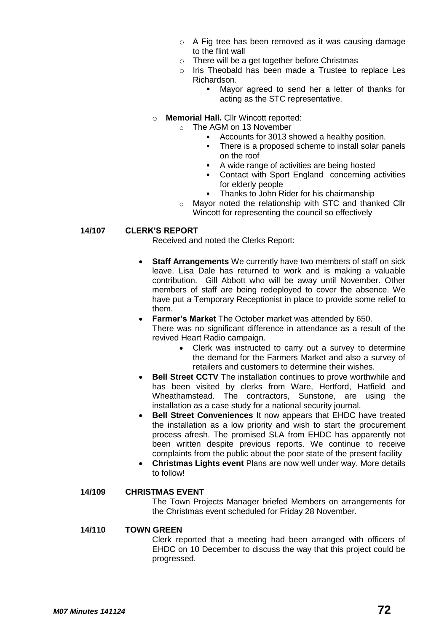- o A Fig tree has been removed as it was causing damage to the flint wall
- o There will be a get together before Christmas
- o Iris Theobald has been made a Trustee to replace Les Richardson.
	- Mayor agreed to send her a letter of thanks for acting as the STC representative.
- o **Memorial Hall.** Cllr Wincott reported:
	- o The AGM on 13 November
		- Accounts for 3013 showed a healthy position.
		- There is a proposed scheme to install solar panels on the roof
		- A wide range of activities are being hosted
		- Contact with Sport England concerning activities for elderly people
		- **Thanks to John Rider for his chairmanship**
	- o Mayor noted the relationship with STC and thanked Cllr Wincott for representing the council so effectively

## **14/107 CLERK'S REPORT**

Received and noted the Clerks Report:

- **Staff Arrangements** We currently have two members of staff on sick leave. Lisa Dale has returned to work and is making a valuable contribution. Gill Abbott who will be away until November. Other members of staff are being redeployed to cover the absence. We have put a Temporary Receptionist in place to provide some relief to them.
- **Farmer's Market** The October market was attended by 650. There was no significant difference in attendance as a result of the revived Heart Radio campaign.
	- Clerk was instructed to carry out a survey to determine the demand for the Farmers Market and also a survey of retailers and customers to determine their wishes.
- **Bell Street CCTV** The installation continues to prove worthwhile and has been visited by clerks from Ware, Hertford, Hatfield and Wheathamstead. The contractors, Sunstone, are using the installation as a case study for a national security journal.
- **Bell Street Conveniences** It now appears that EHDC have treated the installation as a low priority and wish to start the procurement process afresh. The promised SLA from EHDC has apparently not been written despite previous reports. We continue to receive complaints from the public about the poor state of the present facility
- **Christmas Lights event** Plans are now well under way. More details to follow!

## **14/109 CHRISTMAS EVENT**

The Town Projects Manager briefed Members on arrangements for the Christmas event scheduled for Friday 28 November.

#### **14/110 TOWN GREEN**

Clerk reported that a meeting had been arranged with officers of EHDC on 10 December to discuss the way that this project could be progressed.